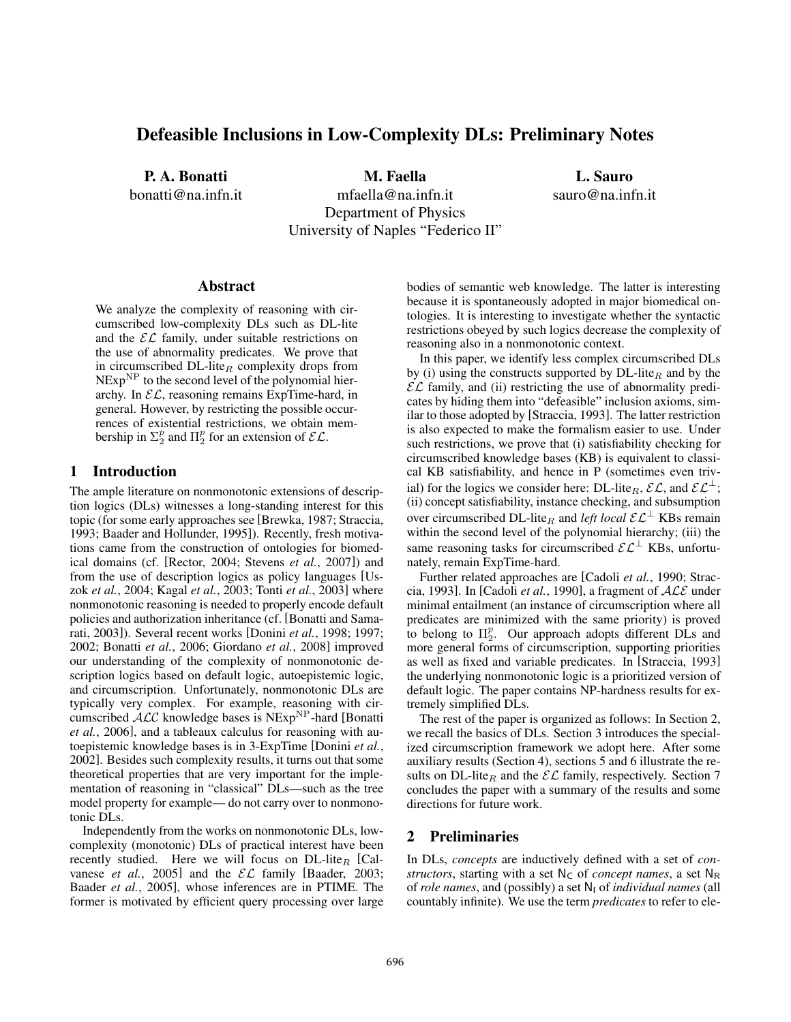# Defeasible Inclusions in Low-Complexity DLs: Preliminary Notes

P. A. Bonatti

bonatti@na.infn.it

M. Faella mfaella@na.infn.it Department of Physics University of Naples "Federico II"

L. Sauro sauro@na.infn.it

#### Abstract

We analyze the complexity of reasoning with circumscribed low-complexity DLs such as DL-lite and the  $\mathcal{EL}$  family, under suitable restrictions on the use of abnormality predicates. We prove that in circumscribed  $DL$ -lite<sub>R</sub> complexity drops from NExp<sup>NP</sup> to the second level of the polynomial hierarchy. In  $\mathcal{EL}$ , reasoning remains ExpTime-hard, in general. However, by restricting the possible occurrences of existential restrictions, we obtain membership in  $\Sigma_2^p$  and  $\Pi_2^p$  for an extension of  $\mathcal{EL}$ .

# 1 Introduction

The ample literature on nonmonotonic extensions of description logics (DLs) witnesses a long-standing interest for this topic (for some early approaches see [Brewka, 1987; Straccia, 1993; Baader and Hollunder, 1995]). Recently, fresh motivations came from the construction of ontologies for biomedical domains (cf. [Rector, 2004; Stevens *et al.*, 2007]) and from the use of description logics as policy languages [Uszok *et al.*, 2004; Kagal *et al.*, 2003; Tonti *et al.*, 2003] where nonmonotonic reasoning is needed to properly encode default policies and authorization inheritance (cf. [Bonatti and Samarati, 2003]). Several recent works [Donini *et al.*, 1998; 1997; 2002; Bonatti *et al.*, 2006; Giordano *et al.*, 2008] improved our understanding of the complexity of nonmonotonic description logics based on default logic, autoepistemic logic, and circumscription. Unfortunately, nonmonotonic DLs are typically very complex. For example, reasoning with circumscribed  $\widehat{ALC}$  knowledge bases is NExp<sup>NP</sup>-hard [Bonatti *et al.*, 2006], and a tableaux calculus for reasoning with autoepistemic knowledge bases is in 3-ExpTime [Donini *et al.*, 2002]. Besides such complexity results, it turns out that some theoretical properties that are very important for the implementation of reasoning in "classical" DLs—such as the tree model property for example— do not carry over to nonmonotonic DLs.

Independently from the works on nonmonotonic DLs, lowcomplexity (monotonic) DLs of practical interest have been recently studied. Here we will focus on  $DL$ -lite<sub>R</sub> [Calvanese *et al.*, 2005] and the  $\mathcal{EL}$  family [Baader, 2003; Baader *et al.*, 2005], whose inferences are in PTIME. The former is motivated by efficient query processing over large bodies of semantic web knowledge. The latter is interesting because it is spontaneously adopted in major biomedical ontologies. It is interesting to investigate whether the syntactic restrictions obeyed by such logics decrease the complexity of reasoning also in a nonmonotonic context.

In this paper, we identify less complex circumscribed DLs by (i) using the constructs supported by  $DL$ -lite<sub>R</sub> and by the  $\mathcal{EL}$  family, and (ii) restricting the use of abnormality predicates by hiding them into "defeasible" inclusion axioms, similar to those adopted by [Straccia, 1993]. The latter restriction is also expected to make the formalism easier to use. Under such restrictions, we prove that (i) satisfiability checking for circumscribed knowledge bases (KB) is equivalent to classical KB satisfiability, and hence in P (sometimes even trivial) for the logics we consider here: DL-lite<sub>R</sub>,  $\mathcal{EL}$ , and  $\mathcal{EL}^{\perp}$ ; (ii) concept satisfiability, instance checking, and subsumption over circumscribed DL-lite<sub>R</sub> and *left local*  $\mathcal{EL}^{\perp}$  KBs remain within the second level of the polynomial hierarchy; (iii) the same reasoning tasks for circumscribed  $\mathcal{EL}^{\perp}$  KBs, unfortunately, remain ExpTime-hard.

Further related approaches are [Cadoli *et al.*, 1990; Straccia, 1993]. In [Cadoli *et al.*, 1990], a fragment of ALE under minimal entailment (an instance of circumscription where all predicates are minimized with the same priority) is proved to belong to  $\Pi_2^p$ . Our approach adopts different DLs and more general forms of circumscription, supporting priorities as well as fixed and variable predicates. In [Straccia, 1993] the underlying nonmonotonic logic is a prioritized version of default logic. The paper contains NP-hardness results for extremely simplified DLs.

The rest of the paper is organized as follows: In Section 2, we recall the basics of DLs. Section 3 introduces the specialized circumscription framework we adopt here. After some auxiliary results (Section 4), sections 5 and 6 illustrate the results on DL-lite<sub>R</sub> and the  $\mathcal{EL}$  family, respectively. Section 7 concludes the paper with a summary of the results and some directions for future work.

# 2 Preliminaries

In DLs, *concepts* are inductively defined with a set of *constructors*, starting with a set  $N_c$  of *concept names*, a set  $N_R$ of *role names*, and (possibly) a set N<sub>1</sub> of *individual names* (all countably infinite). We use the term *predicates* to refer to ele-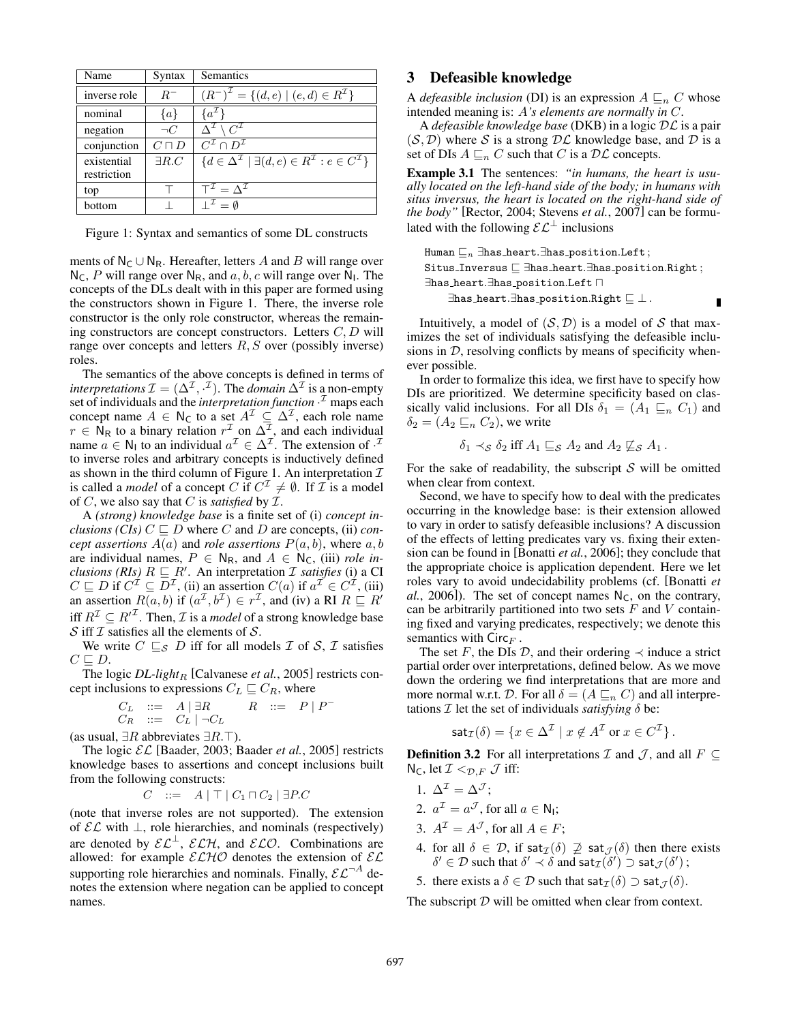| Name         | Syntax        | Semantics                                                                                      |
|--------------|---------------|------------------------------------------------------------------------------------------------|
| inverse role | $R^-$         | $(R^{-})^{\mathcal{I}} = \{(d, e) \mid (e, d) \in R^{\mathcal{I}}\}\$                          |
| nominal      | $\{a\}$       | $\{a^{\mathcal{I}}\}$                                                                          |
| negation     | $\neg C$      | $\Delta^{\mathcal{I}} \setminus C^{\mathcal{I}}$                                               |
| conjunction  | $C\sqcap D$   | $C^{\mathcal{I}} \cap D^{\mathcal{I}}$                                                         |
| existential  | $\exists R.C$ | ${d \in \Delta^{\mathcal{I}} \mid \exists (d,e) \in R^{\mathcal{I}} : e \in C^{\mathcal{I}}\}$ |
| restriction  |               |                                                                                                |
| top          |               | $T^{\mathcal{I}} = \Lambda^{\mathcal{I}}$                                                      |
| bottom       |               |                                                                                                |

Figure 1: Syntax and semantics of some DL constructs

ments of  $N_C \cup N_R$ . Hereafter, letters A and B will range over  $N_c$ , P will range over  $N_R$ , and  $a, b, c$  will range over  $N_I$ . The concepts of the DLs dealt with in this paper are formed using the constructors shown in Figure 1. There, the inverse role constructor is the only role constructor, whereas the remaining constructors are concept constructors. Letters  $C, D$  will range over concepts and letters  $R$ ,  $S$  over (possibly inverse) roles.

The semantics of the above concepts is defined in terms of *interpretations*  $\mathcal{I} = (\Delta^{\mathcal{I}}, \cdot^{\mathcal{I}})$ . The *domain*  $\Delta^{\mathcal{I}}$  is a non-empty set of individuals and the *interpretation function*  $\cdot$ <sup>T</sup> maps each concept name  $A \in N_C$  to a set  $A^{\mathcal{I}} \subseteq \Delta^{\mathcal{I}}$ , each role name  $r \in N_R$  to a binary relation  $r^{\mathcal{I}}$  on  $\Delta^{\mathcal{I}}$ , and each individual name  $a \in \mathsf{N}_1$  to an individual  $a^{\mathcal{I}} \in \Delta^{\mathcal{I}}$ . The extension of  $\cdot^{\mathcal{I}}$ to inverse roles and arbitrary concepts is inductively defined as shown in the third column of Figure 1. An interpretation  $\mathcal I$ is called a *model* of a concept C if  $C^{\mathcal{I}} \neq \emptyset$ . If  $\mathcal{I}$  is a model of  $C$ , we also say that  $C$  is *satisfied* by  $\mathcal{I}$ .

A *(strong) knowledge base* is a finite set of (i) *concept inclusions (CIs)*  $C \subseteq D$  where C and D are concepts, (ii) *concept assertions*  $A(a)$  and *role assertions*  $P(a, b)$ , where  $a, b$ are individual names,  $P \in N_R$ , and  $A \in N_C$ , (iii) *role inclusions (RIs)*  $R \sqsubseteq R'$ . An interpretation  $\mathcal I$  *satisfies* (i) a CI  $C \sqsubseteq D$  if  $C^{\mathcal{I}} \subseteq D^{\mathcal{I}}$ , (ii) an assertion  $C(a)$  if  $a^{\mathcal{I}} \in C^{\mathcal{I}}$ , (iii) an assertion  $R(a, b)$  if  $(a^{\mathcal{I}}, b^{\mathcal{I}}) \in r^{\mathcal{I}}$ , and (iv) a RI  $R \sqsubseteq R'$ iff  $R^{\mathcal{I}} \subset {R'}^{\mathcal{I}}$ . Then,  $\mathcal I$  is a *model* of a strong knowledge base  $S$  iff  $I$  satisfies all the elements of  $S$ .

We write  $C \sqsubseteq_{\mathcal{S}} D$  iff for all models  $\mathcal I$  of  $\mathcal S$ ,  $\mathcal I$  satisfies  $C \sqsubset D$ .

The logic *DL-light<sub>R</sub>* [Calvanese *et al.*, 2005] restricts concept inclusions to expressions  $C_L \sqsubseteq C_R$ , where

$$
\begin{array}{rcl}\nC_L & ::= & A \mid \exists R \\
C_R & ::= & C_L \mid \neg C_L\n\end{array}\n\quad\nR \quad ::= \quad P \mid P^-
$$

(as usual,  $\exists R$  abbreviates  $\exists R.\top$ ).

The logic EL [Baader, 2003; Baader *et al.*, 2005] restricts knowledge bases to assertions and concept inclusions built from the following constructs:

$$
C \quad ::= \quad A \mid \top \mid C_1 \sqcap C_2 \mid \exists P.C
$$

(note that inverse roles are not supported). The extension of  $\mathcal{EL}$  with  $\perp$ , role hierarchies, and nominals (respectively) are denoted by  $\mathcal{EL}^{\perp}$ ,  $\mathcal{ELH}$ , and  $\mathcal{ELO}$ . Combinations are allowed: for example  $\mathcal{ELHO}$  denotes the extension of  $\mathcal{EL}$ supporting role hierarchies and nominals. Finally,  $\mathcal{EL}^{-A}$  denotes the extension where negation can be applied to concept names.

## 3 Defeasible knowledge

A *defeasible inclusion* (DI) is an expression  $A \sqsubseteq_n C$  whose intended meaning is: A*'s elements are normally in* C.

A *defeasible knowledge base* (DKB) in a logic DL is a pair  $(S, D)$  where S is a strong  $D{\mathcal{L}}$  knowledge base, and D is a set of DIs  $A \sqsubseteq_n C$  such that C is a  $D\mathcal{L}$  concepts.

Example 3.1 The sentences: *"in humans, the heart is usually located on the left-hand side of the body; in humans with situs inversus, the heart is located on the right-hand side of the body"* [Rector, 2004; Stevens *et al.*, 2007] can be formulated with the following  $\mathcal{EL}^{\perp}$  inclusions

Human  $\sqsubseteq_n$  ∃has heart.∃has position.Left; Situs\_Inversus  $□$  ∃has\_heart.∃has\_position.Right; ∃has heart.∃has position.Left  $\exists$ has heart. $\exists$ has position.Right  $\sqsubseteq \bot$ .

Intuitively, a model of  $(S, D)$  is a model of S that maximizes the set of individuals satisfying the defeasible inclusions in  $D$ , resolving conflicts by means of specificity whenever possible.

In order to formalize this idea, we first have to specify how DIs are prioritized. We determine specificity based on classically valid inclusions. For all DIs  $\delta_1 = (A_1 \sqsubseteq_n C_1)$  and  $\delta_2 = (A_2 \sqsubseteq_n C_2)$ , we write

$$
\delta_1 \prec_{\mathcal{S}} \delta_2
$$
 iff  $A_1 \sqsubseteq_{\mathcal{S}} A_2$  and  $A_2 \not\sqsubseteq_{\mathcal{S}} A_1$ .

For the sake of readability, the subscript  $S$  will be omitted when clear from context.

Second, we have to specify how to deal with the predicates occurring in the knowledge base: is their extension allowed to vary in order to satisfy defeasible inclusions? A discussion of the effects of letting predicates vary vs. fixing their extension can be found in [Bonatti *et al.*, 2006]; they conclude that the appropriate choice is application dependent. Here we let roles vary to avoid undecidability problems (cf. [Bonatti *et al.*, 2006]). The set of concept names  $N_c$ , on the contrary, can be arbitrarily partitioned into two sets  $F$  and  $V$  containing fixed and varying predicates, respectively; we denote this semantics with  $Circ_F$ .

The set F, the DIs  $\mathcal{D}$ , and their ordering  $\prec$  induce a strict partial order over interpretations, defined below. As we move down the ordering we find interpretations that are more and more normal w.r.t. D. For all  $\delta = (A \sqsubseteq_n C)$  and all interpretations  $\mathcal I$  let the set of individuals *satisfying*  $\delta$  be:

$$
\mathsf{sat}_{\mathcal{I}}(\delta) = \{ x \in \Delta^{\mathcal{I}} \mid x \notin A^{\mathcal{I}} \text{ or } x \in C^{\mathcal{I}} \}.
$$

**Definition 3.2** For all interpretations  $\mathcal I$  and  $\mathcal J$ , and all  $F \subseteq$  $N_C$ , let  $\mathcal{I} <_{\mathcal{D}, F} \mathcal{J}$  iff:

- 1.  $\Delta^{\mathcal{I}} = \Delta^{\mathcal{J}}$ ;
- 2.  $a^{\mathcal{I}} = a^{\mathcal{I}}$ , for all  $a \in \mathbb{N}_1$ ;
- 3.  $A^{\mathcal{I}} = A^{\mathcal{J}}$ , for all  $A \in F$ :
- 4. for all  $\delta \in \mathcal{D}$ , if sat $\mathcal{I}(\delta) \nsupseteq \mathsf{sat}_{\mathcal{J}}(\delta)$  then there exists  $\delta' \in \mathcal{D}$  such that  $\delta' \prec \delta$  and  $\textsf{sat}_{\mathcal{I}}(\delta') \supset \textsf{sat}_{\mathcal{J}}(\delta')$ ;
- 5. there exists a  $\delta \in \mathcal{D}$  such that sat $\tau(\delta) \supset$  sat  $\tau(\delta)$ .

The subscript  $D$  will be omitted when clear from context.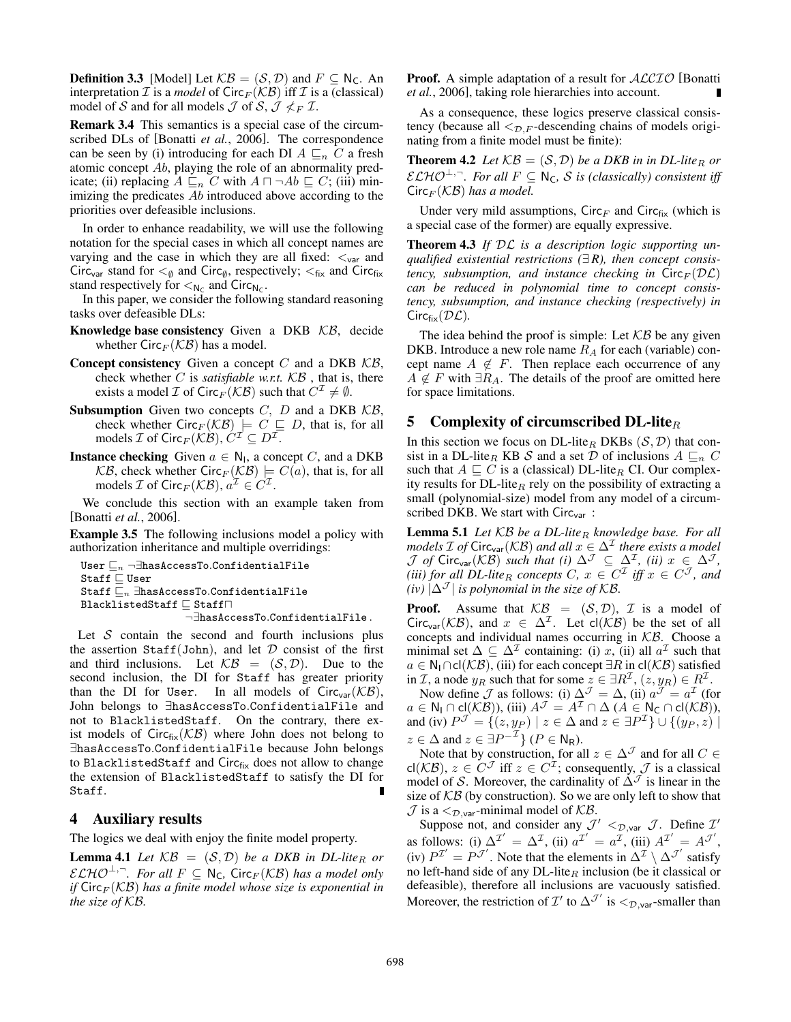**Definition 3.3** [Model] Let  $KB = (S, D)$  and  $F \subseteq N_C$ . An interpretation  $\mathcal I$  is a *model* of Circ<sub>F</sub> ( $\mathcal{KB}$ ) iff  $\mathcal I$  is a (classical) model of S and for all models J of S,  $\mathcal{J} \nleq F$ .

Remark 3.4 This semantics is a special case of the circumscribed DLs of [Bonatti *et al.*, 2006]. The correspondence can be seen by (i) introducing for each DI  $A \sqsubseteq_n C$  a fresh atomic concept Ab, playing the role of an abnormality predicate; (ii) replacing  $A \sqsubseteq_n C$  with  $A \sqcap \neg Ab \sqsubseteq C$ ; (iii) minimizing the predicates Ab introduced above according to the priorities over defeasible inclusions.

In order to enhance readability, we will use the following notation for the special cases in which all concept names are varying and the case in which they are all fixed:  $\lt_{var}$  and Circ<sub>var</sub> stand for  $\lt_{\emptyset}$  and Circ<sub> $\emptyset$ </sub>, respectively;  $\lt_{fix}$  and Circ<sub>fix</sub> stand respectively for  $\lt_{N_c}$  and Circ<sub>Nc</sub>.

In this paper, we consider the following standard reasoning tasks over defeasible DLs:

- **Knowledge base consistency** Given a DKB  $KB$ , decide whether  $Circ_F(KB)$  has a model.
- **Concept consistency** Given a concept C and a DKB  $KB$ , check whether  $C$  is *satisfiable w.r.t.*  $KB$ , that is, there exists a model  $\mathcal I$  of Circ $_F(\mathcal{KB})$  such that  $C^{\mathcal I}\neq\emptyset$ .
- **Subsumption** Given two concepts  $C$ ,  $D$  and a DKB  $KB$ , check whether  $Circ_F(\mathcal{KB}) \models C \sqsubseteq D$ , that is, for all models  $\mathcal I$  of Circ $_F(\mathcal{KB}), C^{\mathcal I} \subseteq D^{\mathcal I}$ .
- **Instance checking** Given  $a \in \mathbb{N}_1$ , a concept C, and a DKB  $KB$ , check whether Circ<sub>F</sub> ( $KB$ )  $\models C(a)$ , that is, for all models *I* of Circ<sub>F</sub>( $KB$ ),  $a^{\mathcal{I}} \in C^{\mathcal{I}}$ .

We conclude this section with an example taken from [Bonatti *et al.*, 2006].

Example 3.5 The following inclusions model a policy with authorization inheritance and multiple overridings:

```
User \mathrel{{\sqsubseteq}_n} \neg \existshasAccessTo.ConfidentialFile
\texttt{Staff} \sqsubseteq \texttt{User}Staff \mathcal{L}_n ∃hasAccessTo.ConfidentialFile
BlacklistedStaff\mathrel{{\sqsubseteq}}Staff\mathrel{{\sqcap}}¬∃hasAccessTo.ConfidentialFile .
```
Let  $S$  contain the second and fourth inclusions plus the assertion  $Staff(John)$ , and let  $D$  consist of the first and third inclusions. Let  $KB = (S, D)$ . Due to the second inclusion, the DI for Staff has greater priority than the DI for User. In all models of Circ<sub>var</sub> $(K\mathcal{B})$ , John belongs to <sup>∃</sup>hasAccessTo.ConfidentialFile and not to BlacklistedStaff. On the contrary, there exist models of  $Circ_{fix}(\mathcal{KB})$  where John does not belong to <sup>∃</sup>hasAccessTo.ConfidentialFile because John belongs to BlacklistedStaff and Circfix does not allow to change the extension of BlacklistedStaff to satisfy the DI for Staff.

# 4 Auxiliary results

The logics we deal with enjoy the finite model property.

**Lemma 4.1** Let  $KB = (S, D)$  be a DKB in DL-lite<sub>R</sub> or  $\mathcal{ELHO}^{\perp,\neg}$ *. For all*  $F \subseteq \mathsf{N}_\mathsf{C}$ *,* Circ<sub>F</sub>( $\mathcal{KB}$ ) has a model only *if*  $Circ_F(KB)$  *has a finite model whose size is exponential in the size of* KB*.*

**Proof.** A simple adaptation of a result for  $ALCTO$  [Bonatti *et al.*, 2006], taking role hierarchies into account.

As a consequence, these logics preserve classical consistency (because all  $\leq_{\mathcal{D},F}$ -descending chains of models originating from a finite model must be finite):

**Theorem 4.2** *Let*  $KB = (S, D)$  *be a DKB in in DL-lite<sub>R</sub></sub> or*  $\mathcal{ELHO}^{\perp,\neg}$ . For all  $F \subseteq N_C$ , S is (classically) consistent iff  $Circ_F(KB)$  *has a model.* 

Under very mild assumptions, Circ $_F$  and Circ $_{fix}$  (which is a special case of the former) are equally expressive.

Theorem 4.3 *If* DL *is a description logic supporting unqualified existential restrictions (*∃ *R), then concept consistency, subsumption, and instance checking in*  $Circ_F(DL)$ *can be reduced in polynomial time to concept consistency, subsumption, and instance checking (respectively) in*  $Circ_{fix}(\mathcal{DL})$ .

The idea behind the proof is simple: Let  $KB$  be any given DKB. Introduce a new role name  $R_A$  for each (variable) concept name  $A \notin F$ . Then replace each occurrence of any  $A \notin F$  with  $\exists R_A$ . The details of the proof are omitted here for space limitations.

## 5 Complexity of circumscribed DL-lite<sub>R</sub>

In this section we focus on DL-lite<sub>R</sub> DKBs ( $S$ ,  $D$ ) that consist in a DL-lite<sub>R</sub> KB S and a set D of inclusions  $A \sqsubseteq_n C$ such that  $A \sqsubset C$  is a (classical) DL-lite<sub>R</sub> CI. Our complexity results for  $DL$ -lite<sub>R</sub> rely on the possibility of extracting a small (polynomial-size) model from any model of a circumscribed DKB. We start with  $Circ_{var}$ :

Lemma 5.1 Let  $KB$  be a DL-lite<sub>R</sub> knowledge base. For all *models*  $\mathcal I$  *of*  $Circ_{var}(\mathcal{KB})$  *and all*  $x \in \Delta^{\mathcal I}$  *there exists a model*  $\mathcal J$  *of* Circ<sub>var</sub>(KB) such that (i)  $\Delta^{\mathcal J} \subseteq \Delta^{\mathcal I}$ , (ii)  $x \in \Delta^{\mathcal J}$ , *(iii) for all DL-lite*<sub>R</sub> concepts  $C, x \in C^{\mathcal{I}}$  *iff*  $x \in C^{\mathcal{J}}$ *, and (iv)*  $|\Delta^{\mathcal{J}}|$  *is polynomial in the size of KB.* 

**Proof.** Assume that  $KB = (S, D)$ , T is a model of Circ<sub>var</sub>( $KB$ ), and  $x \in \Delta^{\mathcal{I}}$ . Let cl( $KB$ ) be the set of all concepts and individual names occurring in  $KB$ . Choose a minimal set  $\Delta \subseteq \Delta^{\mathcal{I}}$  containing: (i) x, (ii) all  $a^{\mathcal{I}}$  such that  $a \in N_1 \cap cl(\mathcal{KB})$ , (iii) for each concept ∃R in cl( $\mathcal{KB})$  satisfied in I, a node  $y_R$  such that for some  $z \in \exists R^{\mathcal{I}}$ ,  $(z, y_R) \in R^{\mathcal{I}}$ .

Now define  $\mathcal J$  as follows: (i)  $\Delta^{\mathcal J} = \Delta$ , (ii)  $a^{\mathcal J} = a^{\mathcal I}$  (for  $a \in \mathsf{N}_1 \cap \mathsf{cl}(\mathcal{KB})$ , (iii)  $A^{\mathcal{J}} = A^{\mathcal{I}} \cap \Delta$   $(A \in \mathsf{N}_\mathsf{C} \cap \mathsf{cl}(\mathcal{KB}))$ , and (iv)  $P^{\mathcal{J}} = \{(z, y_P) \mid z \in \Delta \text{ and } z \in \exists P^{\mathcal{I}}\} \cup \{(y_P, z) \mid$  $z \in \Delta$  and  $z \in \exists P^{-1}$  {  $P \in \mathbb{N}_{\mathsf{R}}$ ).

Note that by construction, for all  $z \in \Delta^{\mathcal{J}}$  and for all  $C \in$ cl(KB),  $z \in C^{\mathcal{J}}$  iff  $z \in C^{\mathcal{I}}$ ; consequently,  $\mathcal{J}$  is a classical model of S. Moreover, the cardinality of  $\Delta^{\mathcal{J}}$  is linear in the size of  $KB$  (by construction). So we are only left to show that  $\mathcal J$  is a  $\langle D_{\text{var}}$ -minimal model of  $\mathcal{KB}$ .

Suppose not, and consider any  $\mathcal{J}' \leq_{\mathcal{D},\text{var}} \mathcal{J}$ . Define  $\mathcal{I}'$ as follows: (i)  $\Delta^{\mathcal{I}'} = \Delta^{\mathcal{I}}$ , (ii)  $a^{\mathcal{I}'} = a^{\mathcal{I}}$ , (iii)  $A^{\mathcal{I}'} = A^{\mathcal{J}'}$ , (iv)  $P^{T'} = P^{J'}$ . Note that the elements in  $\Delta^{T} \setminus \Delta^{J'}$  satisfy no left-hand side of any  $DL$ -lite<sub>R</sub> inclusion (be it classical or defeasible), therefore all inclusions are vacuously satisfied. Moreover, the restriction of  $\mathcal{I}'$  to  $\Delta^{\mathcal{J}'}$  is  $\langle \mathcal{D}, \mathsf{var}\rangle$ -smaller than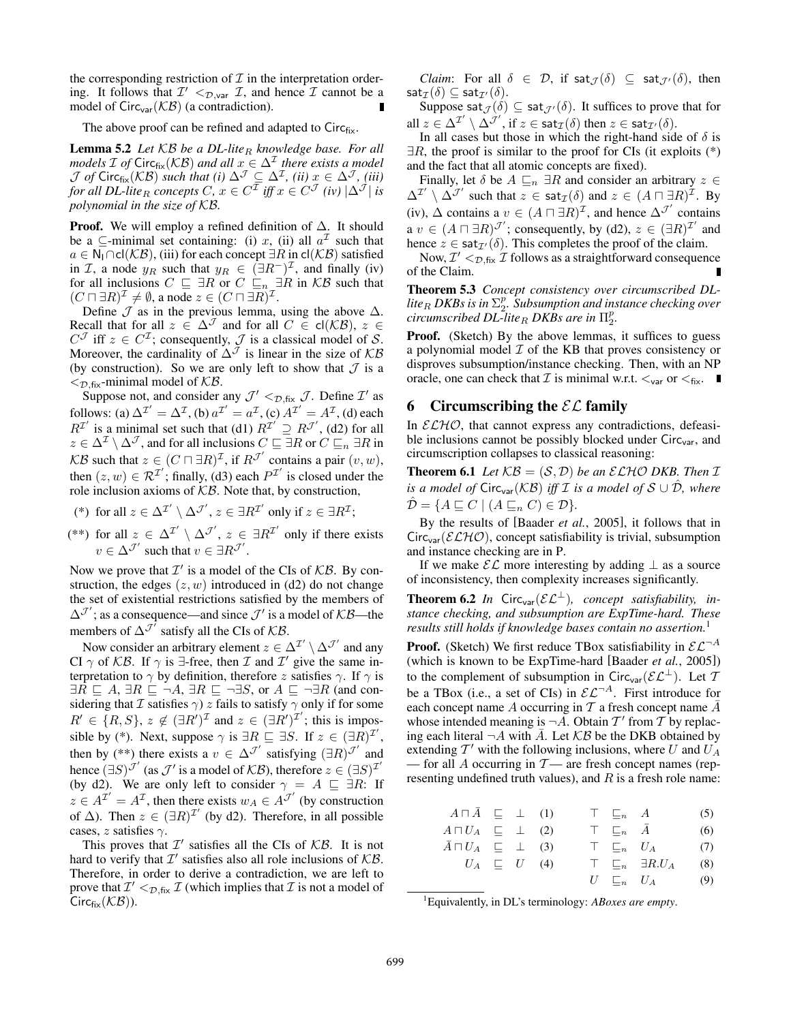the corresponding restriction of  $\mathcal I$  in the interpretation ordering. It follows that  $\mathcal{I}' <_{\mathcal{D},var} \mathcal{I}$ , and hence  $\mathcal{I}$  cannot be a model of  $Circ_{var}(\mathcal{KB})$  (a contradiction).

The above proof can be refined and adapted to  $Circ_{fix}$ .

**Lemma 5.2** *Let*  $KB$  *be a DL-lite*<sub>R</sub> *knowledge base. For all models*  $\mathcal{I}$  *of* Circ<sub>fix</sub>( $\mathcal{KB}$ ) *and all*  $x \in \Delta^{\mathcal{I}}$  *there exists a model*  $\mathcal{J}$  *of* Circ<sub>fix</sub>(KB) *such that (i)*  $\Delta^{\mathcal{J}} \subseteq \Delta^{\mathcal{I}}$ *, (ii)*  $x \in \Delta^{\mathcal{J}}$ *, (iii) for all DL-lite<sub>R</sub></sub> concepts*  $C, x \in C^{\mathcal{I}}$  *iff*  $x \in C^{\mathcal{J}}$  *(iv)*  $|\Delta^{\mathcal{J}}|$  *is polynomial in the size of* KB*.*

**Proof.** We will employ a refined definition of  $\Delta$ . It should be a ⊆-minimal set containing: (i) x, (ii) all  $a<sup>T</sup>$  such that  $a \in N_1 \cap cl(\mathcal{KB})$ , (iii) for each concept  $\exists R$  in  $cl(\mathcal{KB})$  satisfied in *I*, a node  $y_R$  such that  $y_R \in (\exists R^-)^{\mathcal{I}}$ , and finally (iv) for all inclusions  $C \subseteq \exists R$  or  $C \subseteq_n \exists R$  in  $KB$  such that  $(C \sqcap \exists R)^{\mathcal{I}} \neq \emptyset$ , a node  $z \in (C \sqcap \exists R)^{\mathcal{I}}$ .

Define  $\mathcal J$  as in the previous lemma, using the above  $\Delta$ . Recall that for all  $z \in \Delta^{\mathcal{J}}$  and for all  $C \in cl(\mathcal{KB})$ ,  $z \in$  $C^{\mathcal{J}}$  iff  $z \in C^{\mathcal{I}}$ ; consequently,  $\mathcal{J}$  is a classical model of S. Moreover, the cardinality of  $\Delta^{\mathcal{J}}$  is linear in the size of  $\mathcal{KB}$ (by construction). So we are only left to show that  $\mathcal J$  is a  $\langle \mathcal{D}_{\text{max}}$ -minimal model of  $KB$ .

Suppose not, and consider any  $\mathcal{J}' <_{\mathcal{D},fix} \mathcal{J}$ . Define  $\mathcal{I}'$  as follows: (a)  $\Delta^{\mathcal{I}'} = \Delta^{\mathcal{I}}$ , (b)  $a^{\mathcal{I}'} = a^{\mathcal{I}}$ , (c)  $A^{\mathcal{I}'} = A^{\mathcal{I}}$ , (d) each  $R^{\mathcal{I}'}$  is a minimal set such that (d1)  $R^{\mathcal{I}'} \supseteq R^{\mathcal{J}'},$  (d2) for all  $z \in \Delta^{\mathcal{I}} \setminus \Delta^{\mathcal{J}}$ , and for all inclusions  $C \sqsubseteq \exists R$  or  $C \sqsubseteq_n \exists R$  in  $KB$  such that  $z \in (C \sqcap \exists R)^{\mathcal{I}}$ , if  $R^{\mathcal{J}'}$  contains a pair  $(v, w)$ , then  $(z, w) \in \mathcal{R}^{\mathcal{I}'};$  finally, (d3) each  $P^{\mathcal{I}'}$  is closed under the role inclusion axioms of  $KB$ . Note that, by construction,

(\*) for all  $z \in \Delta^{\mathcal{I}'} \setminus \Delta^{\mathcal{J}'}, z \in \exists R^{\mathcal{I}'}$  only if  $z \in \exists R^{\mathcal{I}}$ ;

(\*\*) for all  $z \in \Delta^{\mathcal{I}'} \setminus \Delta^{\mathcal{J}'}, z \in \exists R^{\mathcal{I}'}$  only if there exists  $v \in \Delta^{\mathcal{J}'}$  such that  $v \in \exists R^{\mathcal{J}'}$ .

Now we prove that  $\mathcal{I}'$  is a model of the CIs of  $\mathcal{KB}$ . By construction, the edges  $(z, w)$  introduced in (d2) do not change the set of existential restrictions satisfied by the members of  $\Delta^{\mathcal{J}}$ ; as a consequence—and since  $\mathcal{J}'$  is a model of  $\mathcal{KB}$ —the members of  $\Delta^{\mathcal{J}}$  satisfy all the CIs of  $\mathcal{KB}$ .

Now consider an arbitrary element  $z \in \Delta^{\mathcal{I}'} \setminus \Delta^{\mathcal{J}'}$  and any CI  $\gamma$  of KB. If  $\gamma$  is  $\exists$ -free, then  $\mathcal I$  and  $\mathcal I'$  give the same interpretation to  $\gamma$  by definition, therefore z satisfies  $\gamma$ . If  $\gamma$  is  $\exists R \sqsubseteq A$ ,  $\exists R \sqsubseteq \neg A$ ,  $\exists R \sqsubseteq \neg \exists S$ , or  $A \sqsubseteq \neg \exists R$  (and considering that I satisfies  $\gamma$ ) z fails to satisfy  $\gamma$  only if for some  $R' \in \{R, S\}$ ,  $z \notin (\exists R')^{\mathcal{I}}$  and  $z \in (\exists R')^{\mathcal{I}'}$ ; this is impossible by (\*). Next, suppose  $\gamma$  is  $\exists R \sqsubseteq \exists S$ . If  $z \in (\exists R)^{\mathcal{I}'},$ then by (\*\*) there exists a  $v \in \Delta^{\mathcal{J}}$  satisfying  $(\exists R)^{\mathcal{J}}$  and hence  $(\exists S)^{\mathcal{J}}'$  (as  $\mathcal{J}'$  is a model of  $\mathcal{KB}$ ), therefore  $z \in (\exists S)^{\mathcal{I}'}$ (by d2). We are only left to consider  $\gamma = A \subseteq \exists R$ : If  $z \in A^{\mathcal{I}'} = A^{\mathcal{I}}$ , then there exists  $w_A \in A^{\mathcal{J}'}$  (by construction of  $\Delta$ ). Then  $z \in (\exists R)^{\mathcal{I}'}$  (by d2). Therefore, in all possible cases, z satisfies  $\gamma$ .

This proves that  $\mathcal{I}'$  satisfies all the CIs of  $\mathcal{KB}$ . It is not hard to verify that  $\mathcal{I}'$  satisfies also all role inclusions of  $\mathcal{KB}$ . Therefore, in order to derive a contradiction, we are left to prove that  $\mathcal{I}' <_{\mathcal{D},fix} \mathcal{I}$  (which implies that  $\mathcal{I}$  is not a model of Circ $_{fix}(\mathcal{KB})$ ).

*Claim*: For all  $\delta \in \mathcal{D}$ , if  $\text{sat}_{\mathcal{J}}(\delta) \subseteq \text{sat}_{\mathcal{J}}(\delta)$ , then  $\mathsf{sat}_\mathcal{I}(\delta) \subseteq \mathsf{sat}_{\mathcal{I}'}(\delta).$ 

Suppose sat  $\mathcal{J}(\delta) \subseteq$  sat  $\mathcal{J}'(\delta)$ . It suffices to prove that for all  $z \in \Delta^{\mathcal{I}'} \setminus \Delta^{\mathcal{J}'},$  if  $z \in \text{sat}_{\mathcal{I}}(\delta)$  then  $z \in \text{sat}_{\mathcal{I}'}(\delta)$ .

In all cases but those in which the right-hand side of  $\delta$  is  $\exists R$ , the proof is similar to the proof for CIs (it exploits  $(*)$ ) and the fact that all atomic concepts are fixed).

Finally, let  $\delta$  be  $A \sqsubseteq_n \exists R$  and consider an arbitrary  $z \in \mathbb{R}$  $\Delta^{\mathcal{I}'}\setminus \Delta^{\mathcal{J}'}$  such that  $z \in \text{sat}_{\mathcal{I}}(\delta)$  and  $z \in (A \sqcap \exists R)^{\mathcal{I}}$ . By (iv),  $\Delta$  contains a  $v \in (A \sqcap \exists R)^{\mathcal{I}}$ , and hence  $\Delta^{\mathcal{J}'}$  contains  $a v \in (A \sqcap \exists R)^{\mathcal{J}}$ ; consequently, by (d2),  $z \in (\exists R)^{\mathcal{I}}$  and hence  $z \in \text{sat}_{\mathcal{I}}(\delta)$ . This completes the proof of the claim.

Now,  $\mathcal{I}' <_{\mathcal{D},fix} \mathcal{I}$  follows as a straightforward consequence of the Claim.

Theorem 5.3 *Concept consistency over circumscribed DL*lite<sub>R</sub> DKBs is in  $\Sigma_2^p$ . Subsumption and instance checking over  $\emph{circumscribed DL-like}_{R}$  *DKBs are in*  $\Pi^{p}_{2}$ .

**Proof.** (Sketch) By the above lemmas, it suffices to guess a polynomial model  $\mathcal I$  of the KB that proves consistency or disproves subsumption/instance checking. Then, with an NP oracle, one can check that  $\mathcal I$  is minimal w.r.t.  $\lt_{var}$  or  $\lt_{fix}$ .

#### 6 Circumscribing the  $\mathcal{EL}$  family

In  $\mathcal{ELHO}$ , that cannot express any contradictions, defeasible inclusions cannot be possibly blocked under  $Circ_{var}$ , and circumscription collapses to classical reasoning:

**Theorem 6.1** Let  $KB = (S, D)$  be an  $\mathcal{ELHO}$  DKB. Then  $\mathcal{I}$ *is a model of*  $Circ_{var}(\mathcal{KB})$  *iff*  $\mathcal{I}$  *is a model of*  $\mathcal{S} \cup \mathcal{D}$ *, where*  $\mathcal{D} = \{A \sqsubseteq C \mid (A \sqsubseteq_n C) \in \mathcal{D}\}.$ 

By the results of [Baader *et al.*, 2005], it follows that in Circ<sub>var</sub>( $\mathcal{ELHO}$ ), concept satisfiability is trivial, subsumption and instance checking are in P.

If we make  $\mathcal{EL}$  more interesting by adding  $\perp$  as a source of inconsistency, then complexity increases significantly.

**Theorem 6.2** In Circ<sub>var</sub> $(\mathcal{EL}^{\perp})$ , concept satisfiability, in*stance checking, and subsumption are ExpTime-hard. These results still holds if knowledge bases contain no assertion.*<sup>1</sup>

**Proof.** (Sketch) We first reduce TBox satisfiability in  $\mathcal{EL}^{-A}$ (which is known to be ExpTime-hard [Baader *et al.*, 2005]) to the complement of subsumption in Circ<sub>var</sub>( $\mathcal{EL}^{\perp}$ ). Let T be a TBox (i.e., a set of CIs) in  $\mathcal{EL}^{-A}$ . First introduce for each concept name A occurring in T a fresh concept name  $\overline{A}$ whose intended meaning is  $\neg A$ . Obtain T' from T by replacing each literal  $\neg A$  with A. Let  $KB$  be the DKB obtained by extending  $T'$  with the following inclusions, where U and  $U_A$ — for all A occurring in  $T$ — are fresh concept names (representing undefined truth values), and  $R$  is a fresh role name:

$$
A \sqcap \overline{A} \sqsubseteq \perp (1) \qquad \top \sqsubseteq_n A \qquad (5)
$$
\n
$$
A \sqcap U_A \sqsubseteq \perp (2) \qquad \top \sqsubseteq_n \overline{A} \qquad (6)
$$
\n
$$
\overline{A} \sqcap U_A \sqsubseteq \perp (3) \qquad \top \sqsubseteq_n U_A \qquad (7)
$$
\n
$$
U_A \sqsubseteq U \qquad (4) \qquad \top \sqsubseteq_n \exists R.U_A \qquad (8)
$$
\n
$$
U \sqsubseteq_n U_A \qquad (9)
$$

1 Equivalently, in DL's terminology: *ABoxes are empty*.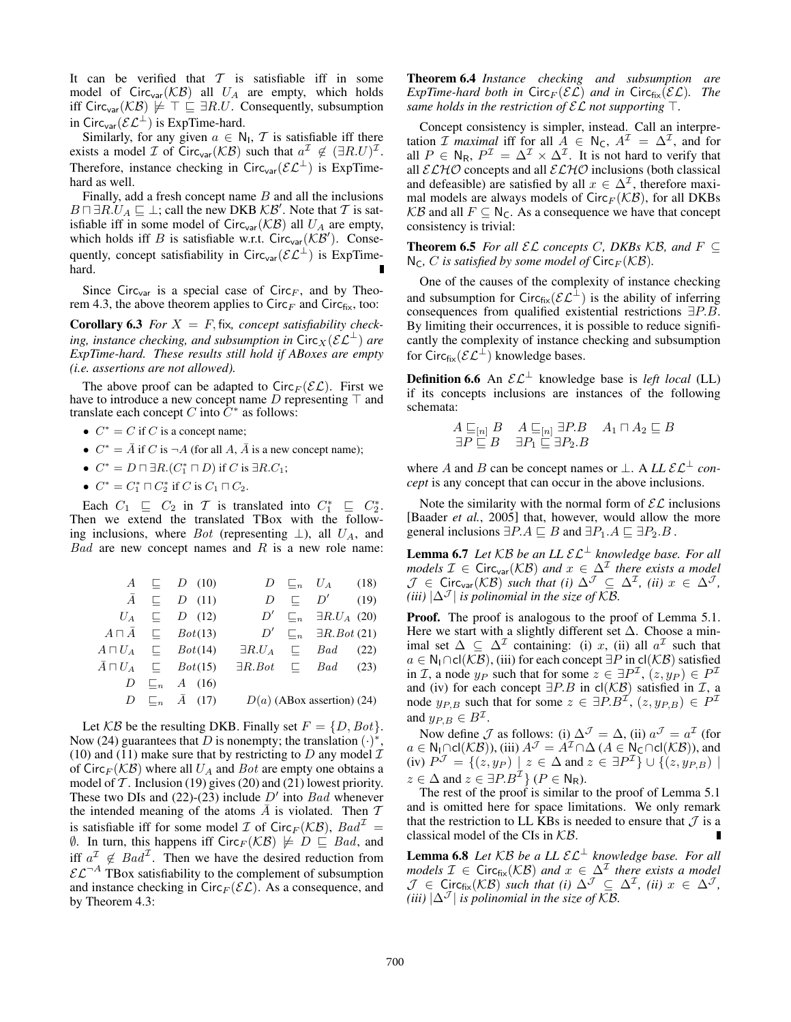It can be verified that  $T$  is satisfiable iff in some model of  $Circ_{var}(\mathcal{KB})$  all  $U_A$  are empty, which holds iff Circ<sub>var</sub>( $KB$ )  $\models$   $\top \subseteq \exists R.U$ . Consequently, subsumption in Circ<sub>var</sub>( $\mathcal{EL}^{\perp}$ ) is ExpTime-hard.

Similarly, for any given  $a \in \mathbb{N}_1$ , T is satisfiable iff there exists a model  $\mathcal I$  of Circ<sub>var</sub>( $\mathcal{KB}$ ) such that  $a^{\mathcal I} \notin (\exists R.U)^{\mathcal I}$ . Therefore, instance checking in Circ<sub>var</sub>( $\mathcal{EL}^{\perp}$ ) is ExpTimehard as well.

Finally, add a fresh concept name  $B$  and all the inclusions  $B \sqcap \exists R.U_A \sqsubseteq \bot$ ; call the new DKB  $KB'$ . Note that  $\mathcal T$  is satisfiable iff in some model of  $Circ_{var}(\mathcal{KB})$  all  $U_A$  are empty, which holds iff B is satisfiable w.r.t. Circ<sub>var</sub>  $(K\mathcal{B}')$ . Consequently, concept satisfiability in Circ<sub>var</sub>( $\mathcal{EL}^{\perp}$ ) is ExpTimehard.

Since Circ<sub>var</sub> is a special case of Circ<sub>F</sub>, and by Theorem 4.3, the above theorem applies to  $Circ_F$  and  $Circ_{fix}$ , too:

**Corollary 6.3** *For*  $X = F$ , fix, *concept satisfiability checking, instance checking, and subsumption in*  $Circ_X(\mathcal{EL}^{\perp})$  *are ExpTime-hard. These results still hold if ABoxes are empty (i.e. assertions are not allowed).*

The above proof can be adapted to Circ $_F(\mathcal{EL})$ . First we have to introduce a new concept name  $D$  representing  $\top$  and translate each concept C into  $\tilde{C}^*$  as follows:

- $C^* = C$  if C is a concept name;
- $C^* = \overline{A}$  if C is  $\neg A$  (for all A,  $\overline{A}$  is a new concept name);
- $C^* = D \sqcap \exists R.(C_1^* \sqcap D)$  if  $C$  is  $\exists R.C_1;$
- $C^* = C_1^* \sqcap C_2^*$  if C is  $C_1 \sqcap C_2$ .

Each  $C_1 \sqsubseteq C_2$  in T is translated into  $C_1^* \sqsubseteq C_2^*$ . Then we extend the translated TBox with the following inclusions, where Bot (representing  $\perp$ ), all  $U_A$ , and  $Bad$  are new concept names and  $R$  is a new role name:

$$
A \subseteq D \quad (10) \qquad D \subseteq_n U_A \quad (18)
$$
\n
$$
\bar{A} \subseteq D \quad (11) \qquad D \subseteq D' \quad (19)
$$
\n
$$
U_A \subseteq D \quad (12) \qquad D' \subseteq_n \exists R.U_A \quad (20)
$$
\n
$$
A \sqcap \bar{A} \subseteq Bot(13) \qquad D' \subseteq_n \exists R.Bot(21)
$$
\n
$$
A \sqcap U_A \subseteq Bot(14) \qquad \exists R.U_A \subseteq Bad \quad (22)
$$
\n
$$
\bar{A} \sqcap U_A \subseteq Bot(15) \qquad \exists R.Bot \subseteq Bad \quad (23)
$$
\n
$$
D \subseteq_n \bar{A} \quad (16)
$$
\n
$$
D \subseteq_n \bar{A} \quad (17) \qquad D(a) \text{ (ABox assertion)} \quad (24)
$$

Let  $KB$  be the resulting DKB. Finally set  $F = \{D, Bot\}.$ Now (24) guarantees that D is nonempty; the translation  $(·)^*$ (10) and (11) make sure that by restricting to  $D$  any model  $\mathcal I$ of Circ<sub>F</sub> ( $KB$ ) where all  $U_A$  and Bot are empty one obtains a model of T. Inclusion (19) gives (20) and (21) lowest priority. These two DIs and (22)-(23) include  $D'$  into Bad whenever the intended meaning of the atoms  $\overline{A}$  is violated. Then  $\mathcal T$ is satisfiable iff for some model  $\mathcal I$  of Circ $_F(\mathcal{KB})$ ,  $Bad^{\mathcal I}$  =  $\emptyset$ . In turn, this happens iff Circ<sub>F</sub>( $KB$ )  $\models D \sqsubseteq Bad$ , and iff  $a^{\mathcal{I}} \notin \text{Bad}^{\mathcal{I}}$ . Then we have the desired reduction from  $\mathcal{EL}^{-A}$  TBox satisfiability to the complement of subsumption and instance checking in Circ $_F(\mathcal{EL})$ . As a consequence, and by Theorem 4.3:

Theorem 6.4 *Instance checking and subsumption are ExpTime-hard both in*  $Circ_F(\mathcal{EL})$  *and in*  $Circ_{fix}(\mathcal{EL})$ *. The same holds in the restriction of*  $\mathcal{EL}$  *not supporting*  $\top$ *.* 

Concept consistency is simpler, instead. Call an interpretation *I* maximal iff for all  $\tilde{A} \in N_C$ ,  $A^{\mathcal{I}} = \Delta^{\mathcal{I}}$ , and for all  $P \in N_R$ ,  $P^{\mathcal{I}} = \Delta^{\mathcal{I}} \times \Delta^{\mathcal{I}}$ . It is not hard to verify that all  $\mathcal{ELHO}$  concepts and all  $\mathcal{ELHO}$  inclusions (both classical and defeasible) are satisfied by all  $x \in \Delta^{\mathcal{I}}$ , therefore maximal models are always models of  $Circ_F(K\mathcal{B})$ , for all DKBs  $KB$  and all  $F \subseteq N_C$ . As a consequence we have that concept consistency is trivial:

**Theorem 6.5** *For all*  $\mathcal{EL}$  *concepts C, DKBs*  $\mathcal{KB}$ *, and*  $F \subseteq$  $N_C$ *, C is satisfied by some model of Circ*<sub> $F$ </sub> $(K\mathcal{B})$ *.* 

One of the causes of the complexity of instance checking and subsumption for Circf<sub>ix</sub>( $\mathcal{EL}^{\perp}$ ) is the ability of inferring consequences from qualified existential restrictions ∃P.B. By limiting their occurrences, it is possible to reduce significantly the complexity of instance checking and subsumption for Circ $f_{\text{fix}}(\mathcal{EL}^{\perp})$  knowledge bases.

**Definition 6.6** An  $\mathcal{EL}^{\perp}$  knowledge base is *left local* (LL) if its concepts inclusions are instances of the following schemata:

$$
A \sqsubseteq_{[n]} B \quad A \sqsubseteq_{[n]} \exists P.B \quad A_1 \sqcap A_2 \sqsubseteq B
$$
  

$$
\exists P \sqsubseteq B \quad \exists P_1 \sqsubseteq \exists P_2.B
$$

where A and B can be concept names or  $\perp$ . A *LL*  $\mathcal{EL}^{\perp}$  *concept* is any concept that can occur in the above inclusions.

Note the similarity with the normal form of  $\mathcal{EL}$  inclusions [Baader *et al.*, 2005] that, however, would allow the more general inclusions  $\exists P.A \sqsubseteq B$  and  $\exists P_1.A \sqsubseteq \exists P_2.B$ .

**Lemma 6.7** *Let*  $KB$  *be an LL*  $\mathcal{EL}^{\perp}$  *knowledge base. For all models*  $\mathcal{I} \in \text{Circ}_{\text{var}}(\mathcal{KB})$  *and*  $x \in \Delta^{\mathcal{I}}$  *there exists a model*  $\mathcal{J} \in \text{Circ}_{\text{var}}(\mathcal{KB})$  *such that (i)*  $\Delta^{\mathcal{J}} \subseteq \Delta^{\mathcal{I}}$ *, (ii)*  $x \in \Delta^{\mathcal{J}}$ *, (iii)*  $|\Delta^{\mathcal{J}}|$  *is polinomial in the size of KB.* 

Proof. The proof is analogous to the proof of Lemma 5.1. Here we start with a slightly different set  $\Delta$ . Choose a minimal set  $\Delta \subseteq \Delta^{\mathcal{I}}$  containing: (i) x, (ii) all  $a^{\mathcal{I}}$  such that  $a \in N_1 \cap cl(\mathcal{KB})$ , (iii) for each concept ∃P in cl( $\mathcal{KB}$ ) satisfied in I, a node  $y_P$  such that for some  $z \in \exists P^{\mathcal{I}}$ ,  $(z, y_P) \in P^{\mathcal{I}}$ and (iv) for each concept  $\exists P.B$  in cl( $\angle$  $(KB)$ ) satisfied in  $\mathcal{I}$ , a node  $y_{P,B}$  such that for some  $z \in \exists P.B^{\mathcal{I}}$ ,  $(z, y_{P,B}) \in P^{\mathcal{I}}$ and  $y_{P,B} \in B^{\mathcal{I}}$ .

Now define  $\mathcal J$  as follows: (i)  $\Delta^{\mathcal J} = \Delta$ , (ii)  $a^{\mathcal J} = a^{\mathcal I}$  (for  $a \in \mathsf{N}_\mathsf{I} \cap \mathsf{cl}(\mathcal{KB})$ ), (iii)  $A^\mathcal{J} = A^\mathcal{I} \cap \Delta$  ( $A \in \mathsf{N}_\mathsf{C} \cap \mathsf{cl}(\mathcal{KB})$ ), and (iv)  $P^{\mathcal{J}} = \{(z, y_P) \mid z \in \Delta \text{ and } z \in \exists P^{\mathcal{I}}\} \cup \{(z, y_{P,B}) \mid$  $z \in \Delta$  and  $z \in \exists P.B^{\mathcal{I}}$  {  $P \in \mathsf{N}_{\mathsf{R}}$ ).

The rest of the proof is similar to the proof of Lemma 5.1 and is omitted here for space limitations. We only remark that the restriction to LL KBs is needed to ensure that  $\mathcal J$  is a classical model of the CIs in KB.

**Lemma 6.8** Let  $KB$  be a LL  $\mathcal{EL}^{\perp}$  knowledge base. For all *models*  $\mathcal{I} \in \text{Circ}_{fix}(\mathcal{KB})$  *and*  $x \in \Delta^{\mathcal{I}}$  *there exists a model*  $\mathcal{J} \in \text{Circ}_{fix}(\mathcal{KB})$  *such that (i)*  $\Delta^{\mathcal{J}} \subseteq \Delta^{\mathcal{I}}$ *, (ii)*  $x \in \Delta^{\mathcal{J}}$ *, (iii)*  $|\Delta^{\mathcal{J}}|$  *is polinomial in the size of KB.*